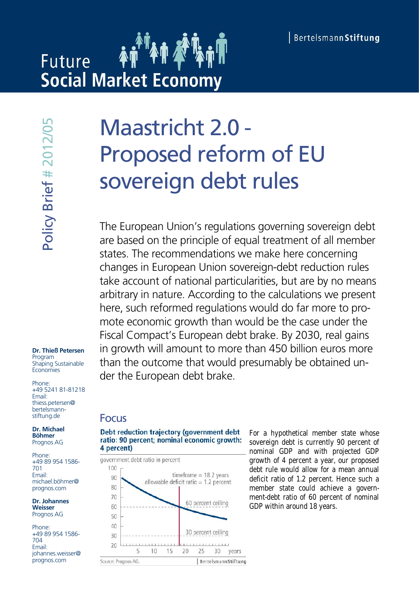# **Future Social Market Economy**

### **Dr. Thieß Petersen**

Program Shaping Sustainable **Economies** 

Phone: +49 5241 81-81218 Email: thiess.petersen@ bertelsmannstiftung.de

**Dr. Michael Böhmer** Prognos AG

Phone: +49 89 954 1586- 701 Email: michael.böhmer@ prognos.com

**Dr. Johannes Weisser** Prognos AG

Phone: +49 89 954 1586- 704 Email: johannes.weisser@ prognos.com

# Maastricht 2.0 - Proposed reform of EU sovereign debt rules

The European Union's regulations governing sovereign debt are based on the principle of equal treatment of all member states. The recommendations we make here concerning changes in European Union sovereign-debt reduction rules take account of national particularities, but are by no means arbitrary in nature. According to the calculations we present here, such reformed regulations would do far more to promote economic growth than would be the case under the Fiscal Compact's European debt brake. By 2030, real gains in growth will amount to more than 450 billion euros more than the outcome that would presumably be obtained under the European debt brake.

### Focus





For a hypothetical member state whose sovereign debt is currently 90 percent of nominal GDP and with projected GDP growth of 4 percent a year, our proposed debt rule would allow for a mean annual deficit ratio of 1.2 percent. Hence such a member state could achieve a government-debt ratio of 60 percent of nominal GDP within around 18 years.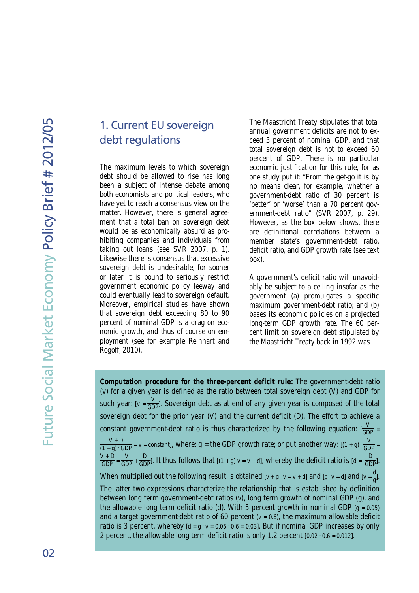### 1. Current EU sovereign debt regulations

The maximum levels to which sovereign debt should be allowed to rise has long been a subject of intense debate among both economists and political leaders, who have yet to reach a consensus view on the matter. However, there is general agreement that a total ban on sovereign debt would be as economically absurd as prohibiting companies and individuals from taking out loans (see SVR 2007, p. 1). Likewise there is consensus that excessive sovereign debt is undesirable, for sooner or later it is bound to seriously restrict government economic policy leeway and could eventually lead to sovereign default. Moreover, empirical studies have shown that sovereign debt exceeding 80 to 90 percent of nominal GDP is a drag on economic growth, and thus of course on employment (see for example Reinhart and Rogoff, 2010).

The Maastricht Treaty stipulates that total annual government deficits are not to exceed 3 percent of nominal GDP, and that total sovereign debt is not to exceed 60 percent of GDP. There is no particular economic justification for this rule, for as one study put it: "From the get-go it is by no means clear, for example, whether a government-debt ratio of 30 percent is 'better' or 'worse' than a 70 percent government-debt ratio" (SVR 2007, p. 29). However, as the box below shows, there are definitional correlations between a member state's government-debt ratio, deficit ratio, and GDP growth rate (see text box).

A government's deficit ratio will unavoidably be subject to a ceiling insofar as the government (a) promulgates a specific maximum government-debt ratio; and (b) bases its economic policies on a projected long-term GDP growth rate. The 60 percent limit on sovereign debt stipulated by the Maastricht Treaty back in 1992 was

**Computation procedure for the three-percent deficit rule:** The government-debt ratio (v) for a given year is defined as the ratio between total sovereign debt (V) and GDP for such year: [v =  $\frac{V}{GDP}$ ]. Sovereign debt as at end of any given year is composed of the total sovereign debt for the prior year (V) and the current deficit (D). The effort to achieve a constant government-debt ratio is thus characterized by the following equation:  $\frac{V}{GDP}$  = V + D  $\frac{V+D}{(1+g)\cdot GDP}$  = v = constant], where: g = the GDP growth rate; or put another way: [(1 + g)  $\frac{V}{GDP}$  =  $\frac{V+D}{GDP} = \frac{V}{GDP} + \frac{D}{GDP}$ . It thus follows that  $[(1+g) v = v + d]$ , whereby the deficit ratio is  $[d = \frac{D}{GDP}]$ . When multiplied out the following result is obtained  $[v + g \cdot v = v + d]$  and  $[g \cdot v = d]$  and  $[v = \frac{d}{g}]$ . The latter two expressions characterize the relationship that is established by definition between long term government-debt ratios (v), long term growth of nominal GDP (g), and the allowable long term deficit ratio (d). With 5 percent growth in nominal GDP  $(q = 0.05)$ and a target government-debt ratio of 60 percent  $(v = 0.6)$ , the maximum allowable deficit ratio is 3 percent, whereby [d = g · v = 0.05 · 0.6 = 0.03]. But if nominal GDP increases by only 2 percent, the allowable long term deficit ratio is only 1.2 percent [0.02 · 0.6 = 0.012].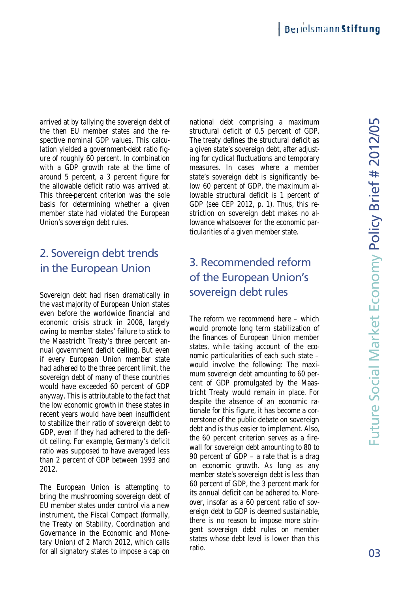arrived at by tallying the sovereign debt of 50 mational debt comprising a maximum **LO** the then EU member states and the respective nominal GDP values. This calculation yielded a government-debt ratio figure of roughly 60 percent. In combination with a GDP growth rate at the time of around 5 percent, a 3 percent figure for the allowable deficit ratio was arrived at. This three-percent criterion was the sole basis for determining whether a given member state had violated the European Union's sovereign debt rules. tive nominal GDP values. This ca<br>in yielded a government-debt ratio<br>of roughly 60 percent. In combinat<br>i a GDP growth rate at the time<br>ind 5 percent, a 3 percent figure<br>allowable deficit ratio was arrived<br>is three-percent

# 2. Sovereign debt trends in the European Union

Sovereign debt had risen dramatically in the vast majority of European Union states even before the worldwide financial and economic crisis struck in 2008, largely owing to member states' failure to stick to the Maastricht Treaty's three percent annual government deficit ceiling. But even if every European Union member state had adhered to the three percent limit, the sovereign debt of many of these countries would have exceeded 60 percent of GDP anyway. This is attributable to the fact that the low economic growth in these states in recent years would have been insufficient to stabilize their ratio of sovereign debt to GDP, even if they had adhered to the deficit ceiling. For example, Germany's deficit ratio was supposed to have averaged less than 2 percent of GDP between 1993 and 2012. ed at by tallying the sovereign debt of mation<br>tive nominal GDP values. This calcustive nominal GDP values. This calcustive nominal GDP values. This calcustive the structure of roughly 60 percent. In combination ing far a

The European Union is attempting to bring the mushrooming sovereign debt of EU member states under control via a new instrument, the Fiscal Compact (formally, the Treaty on Stability, Coordination and Governance in the Economic and Monetary Union) of 2 March 2012, which calls for all signatory states to impose a cap on

structural deficit of 0.5 percent of GDP. The treaty defines the structural deficit as a given state's sovereign debt, after adjusting for cyclical fluctuations and temporary measures. In cases where a member state's sovereign debt is significantly below 60 percent of GDP, the maximum allowable structural deficit is 1 percent of GDP (see CEP 2012, p. 1). Thus, this restriction on sovereign debt makes no allowance whatsoever for the economic particularities of a given member state.

# 3. Recommended reform of the European Union's sovereign debt rules

The reform we recommend here – which would promote long term stabilization of the finances of European Union member states, while taking account of the economic particularities of each such state – would involve the following: The maximum sovereign debt amounting to 60 percent of GDP promulgated by the Maastricht Treaty would remain in place. For despite the absence of an economic rationale for this figure, it has become a cornerstone of the public debate on sovereign debt and is thus easier to implement. Also, the 60 percent criterion serves as a firewall for sovereign debt amounting to 80 to 90 percent of GDP – a rate that is a drag on economic growth. As long as any member state's sovereign debt is less than 60 percent of GDP, the 3 percent mark for its annual deficit can be adhered to. Moreover, insofar as a 60 percent ratio of sovereign debt to GDP is deemed sustainable, there is no reason to impose more stringent sovereign debt rules on member states whose debt level is lower than this arrived alty lally progress and the total in national elect constrained as maximum a maximum spectre noning that spectra and the team of GDP and the team of roughly and the search of the search of the search of the search s' failure to stick to<br>
the finances of European Union member in the ciling. But even<br>
to the finances of European Union member<br>
that indig. But even that<br>
the momic particularities of each such states, while taking accoun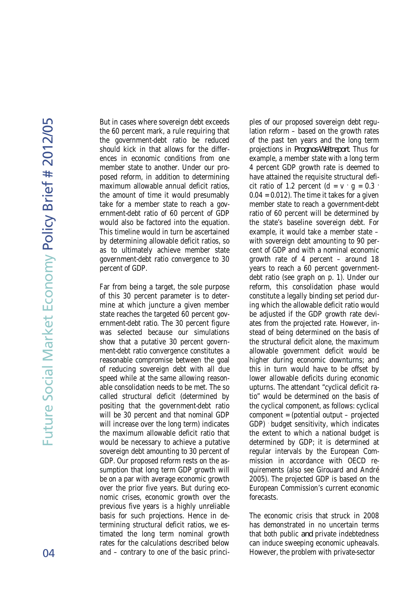L∩

But in cases where sovereign debt exceeds the 60 percent mark, a rule requiring that the government-debt ratio be reduced should kick in that allows for the differences in economic conditions from one member state to another. Under our proposed reform, in addition to determining maximum allowable annual deficit ratios, the amount of time it would presumably take for a member state to reach a government-debt ratio of 60 percent of GDP would also be factored into the equation. This timeline would in turn be ascertained by determining allowable deficit ratios, so as to ultimately achieve member state government-debt ratio convergence to 30 percent of GDP.

Far from being a target, the sole purpose of this 30 percent parameter is to determine at which juncture a given member state reaches the targeted 60 percent government-debt ratio. The 30 percent figure was selected because our simulations show that a putative 30 percent government-debt ratio convergence constitutes a reasonable compromise between the goal of reducing sovereign debt with all due speed while at the same allowing reasonable consolidation needs to be met. The so called structural deficit (determined by positing that the government-debt ratio will be 30 percent and that nominal GDP will increase over the long term) indicates the maximum allowable deficit ratio that would be necessary to achieve a putative sovereign debt amounting to 30 percent of GDP. Our proposed reform rests on the assumption that long term GDP growth will be on a par with average economic growth over the prior five years. But during economic crises, economic growth over the previous five years is a highly unreliable basis for such projections. Hence in determining structural deficit ratios, we estimated the long term nominal growth rates for the calculations described below and – contrary to one of the basic princi-

ples of our proposed sovereign debt regulation reform – based on the growth rates of the past ten years and the long term projections in *Prognos-Weltreport*. Thus for example, a member state with a long term 4 percent GDP growth rate is deemed to have attained the requisite structural deficit ratio of 1.2 percent  $(d = v \cdot g = 0.3$  $0.04 = 0.012$ ). The time it takes for a given member state to reach a government-debt ratio of 60 percent will be determined by the state's baseline sovereign debt. For example, it would take a member state – with sovereign debt amounting to 90 percent of GDP and with a nominal economic growth rate of 4 percent – around 18 years to reach a 60 percent governmentdebt ratio (see graph on p. 1). Under our reform, this consolidation phase would constitute a legally binding set period during which the allowable deficit ratio would be adjusted if the GDP growth rate deviates from the projected rate. However, instead of being determined on the basis of the structural deficit alone, the maximum allowable government deficit would be higher during economic downturns; and this in turn would have to be offset by lower allowable deficits during economic upturns. The attendant "cyclical deficit ratio" would be determined on the basis of the cyclical component, as follows: cyclical component = (potential output – projected GDP) . budget sensitivity, which indicates the extent to which a national budget is determined by GDP; it is determined at regular intervals by the European Commission in accordance with OECD requirements (also see Girouard and André 2005). The projected GDP is based on the European Commission's current economic forecasts.

The economic crisis that struck in 2008 has demonstrated in no uncertain terms that both public *and* private indebtedness can induce sweeping economic upheavals. However, the problem with private-sector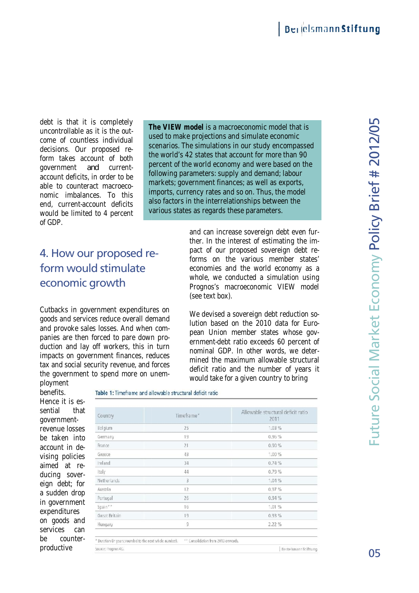debt is that it is completely uncontrollable as it is the outcome of countless individual decisions. Our proposed reform takes account of both government *and* currentaccount deficits, in order to be able to counteract macroeconomic imbalances. To this end, current-account deficits would be limited to 4 percent of GDP.

**The VIEW model** is a macroeconomic model that is used to make projections and simulate economic scenarios. The simulations in our study encompassed the world's 42 states that account for more than 90 percent of the world economy and were based on the the world's 42 states that account for more than 9<br>percent of the world economy and were based on<br>following parameters: supply and demand; labour markets; government finances; as well as exports, imports, currency rates and so on. Thus, the model also factors in the interrelationships between the various states as regards these parameters. proposed re-<br>
bunt of both<br>
markets; government<br>
in order to be<br>
nect macroeco-<br>
res. To this<br>
markets; government<br>
imports, currency<br>
also factors in the

# 4. How our proposed reform would stimulate would stimulateeconomic growth

Source: Prognos AG

We devised a sovereign debt reduction solution based on the 2010 data for European Union member states whose government-debt ratio exceeds 60 percent of nominal GDP. In other words, we determined the maximum allowable structural deficit ratio and the number of years it would take for a given country to bring ration and were based on the upply and demand; labour<br>annes; as well as exports,<br>and so on. Thus, the model<br>elationships between the<br>s these parameters.<br>Frease sovereign debt even<br>are interest of estimating the<br>reproposed

benefits. Hence it is essential that governmentrevenue losses be taken into account in devising policies aimed at reducing sovereign debt; for a sudden drop in government expenditures on goods and services can be counter-

productive

| economic growth              | 4. How our proposed re-<br>form would stimulate                                                                                                                                                                                                                                                                                                           |                                     | and can increase sovereign debt even fur-<br>ther. In the interest of estimating the im-<br>pact of our proposed sovereign debt re-<br>forms on the various member states'<br>economies and the world economy as a<br>whole, we conducted a simulation using<br>Prognos's macroeconomic VIEW model<br>(see text box).                              |  |  |  |
|------------------------------|-----------------------------------------------------------------------------------------------------------------------------------------------------------------------------------------------------------------------------------------------------------------------------------------------------------------------------------------------------------|-------------------------------------|----------------------------------------------------------------------------------------------------------------------------------------------------------------------------------------------------------------------------------------------------------------------------------------------------------------------------------------------------|--|--|--|
| ployment                     | Cutbacks in government expenditures on<br>goods and services reduce overall demand<br>and provoke sales losses. And when com-<br>panies are then forced to pare down pro-<br>duction and lay off workers, this in turn<br>impacts on government finances, reduces<br>tax and social security revenue, and forces<br>the government to spend more on unem- |                                     | We devised a sovereign debt reduction so-<br>lution based on the 2010 data for Euro-<br>pean Union member states whose gov-<br>ernment-debt ratio exceeds 60 percent of<br>nominal GDP. In other words, we deter-<br>mined the maximum allowable structural<br>deficit ratio and the number of years it<br>would take for a given country to bring |  |  |  |
| benefits.<br>Hence it is es- | Table 1: Timeframe and allowable structural deficit ratio                                                                                                                                                                                                                                                                                                 |                                     |                                                                                                                                                                                                                                                                                                                                                    |  |  |  |
| sential<br>that              |                                                                                                                                                                                                                                                                                                                                                           |                                     |                                                                                                                                                                                                                                                                                                                                                    |  |  |  |
| government-                  | Country                                                                                                                                                                                                                                                                                                                                                   | Timeframe*                          | Allowable structural deficit ratio<br>2011                                                                                                                                                                                                                                                                                                         |  |  |  |
| revenue losses               | Belgium                                                                                                                                                                                                                                                                                                                                                   | 25                                  | 1.03%                                                                                                                                                                                                                                                                                                                                              |  |  |  |
| be taken into                | Germany                                                                                                                                                                                                                                                                                                                                                   | 19                                  | 0.96 %                                                                                                                                                                                                                                                                                                                                             |  |  |  |
| account in de-               | France                                                                                                                                                                                                                                                                                                                                                    | 21                                  | 0.90%                                                                                                                                                                                                                                                                                                                                              |  |  |  |
| vising policies              | Greece                                                                                                                                                                                                                                                                                                                                                    | 43                                  | 1.00%                                                                                                                                                                                                                                                                                                                                              |  |  |  |
| aimed<br>at re-              | Ireland                                                                                                                                                                                                                                                                                                                                                   | 34                                  | 0.74%                                                                                                                                                                                                                                                                                                                                              |  |  |  |
| ducing sover-                | Italy                                                                                                                                                                                                                                                                                                                                                     | 44                                  | 0.79%                                                                                                                                                                                                                                                                                                                                              |  |  |  |
|                              | Netherlands                                                                                                                                                                                                                                                                                                                                               | $\overline{3}$                      | 1.04%                                                                                                                                                                                                                                                                                                                                              |  |  |  |
| eign debt; for               | Austria                                                                                                                                                                                                                                                                                                                                                   | 12                                  | 0.97%                                                                                                                                                                                                                                                                                                                                              |  |  |  |
| a sudden drop                | Portugal                                                                                                                                                                                                                                                                                                                                                  | 26                                  | 0.94%                                                                                                                                                                                                                                                                                                                                              |  |  |  |
| in government                | Spain**                                                                                                                                                                                                                                                                                                                                                   | 16                                  | 1.01%                                                                                                                                                                                                                                                                                                                                              |  |  |  |
| expenditures                 | Great Britain                                                                                                                                                                                                                                                                                                                                             | 19                                  | 0.93%                                                                                                                                                                                                                                                                                                                                              |  |  |  |
| on goods and                 | Hungary                                                                                                                                                                                                                                                                                                                                                   | 9                                   | 2.22 %                                                                                                                                                                                                                                                                                                                                             |  |  |  |
| services<br>can              |                                                                                                                                                                                                                                                                                                                                                           |                                     |                                                                                                                                                                                                                                                                                                                                                    |  |  |  |
| be<br>counter-               | * Duration (in years; rounded to the next whole number).                                                                                                                                                                                                                                                                                                  | ** Consolidation from 2013 onwards. |                                                                                                                                                                                                                                                                                                                                                    |  |  |  |

2/0 ഥ

Bertelsmann Stiftung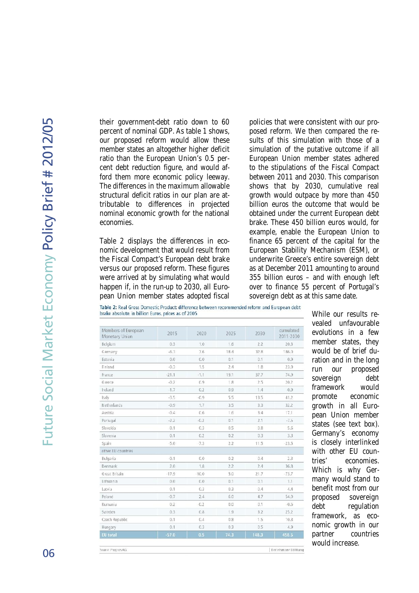their government-debt ratio down to 60 percent of nominal GDP. As table 1 shows, our proposed reform would allow these member states an altogether higher deficit ratio than the European Union's 0.5 percent debt reduction figure, and would afford them more economic policy leeway. The differences in the maximum allowable structural deficit ratios in our plan are attributable to differences in projected nominal economic growth for the national economies.

Table 2 displays the differences in economic development that would result from the Fiscal Compact's European debt brake versus our proposed reform. These figures were arrived at by simulating what would happen if, in the run-up to 2030, all European Union member states adopted fiscal

policies that were consistent with our proposed reform. We then compared the results of this simulation with those of a simulation of the putative outcome if all European Union member states adhered to the stipulations of the Fiscal Compact between 2011 and 2030. This comparison shows that by 2030, cumulative real growth would outpace by more than 450 billion euros the outcome that would be obtained under the current European debt brake. These 450 billion euros would, for example, enable the European Union to finance 65 percent of the capital for the European Stability Mechanism (ESM), or underwrite Greece's entire sovereign debt as at December 2011 amounting to around 355 billion euros – and with enough left over to finance 55 percent of Portugal's sovereign debt as at this same date.

Table 2: Real Gross Domestic Product: difference between recommended reform and European debt brake absolute. in billion Euros, prices as of 2005

| Members of European<br>Monetary Union | 2015    | 2020    | 2025 | 2030  | cumulated<br>2011-2030 |
|---------------------------------------|---------|---------|------|-------|------------------------|
| Belgium                               | 0.3     | 1.0     | 1.6  | 2.2   | 20.3                   |
| Germany                               | $-6.3$  | 7.6     | 18.4 | 32.8  | 186.0                  |
| Estonia                               | 0.0     | 0,0     | 0.1  | 0.1   | 0.9                    |
| Finland                               | $-0.3$  | 1.5     | 2.4  | 1.8   | 23.9                   |
| France                                | $-21.1$ | $-1.1$  | 19.1 | 37.7  | 74.9                   |
| Greece                                | $-0.2$  | 0.9     | 1.8  | 2.5   | 20.2                   |
| Ireland                               | $-1.7$  | 0.2     | 0.9  | 1.4   | $-0.9$                 |
| Italy                                 | $-3.5$  | $-0.9$  | 5.5  | 13.5  | 41.2                   |
| Netherlands                           | $-0.9$  | 1.7     | 3.5  | 3.3   | 32.2                   |
| Austria                               | $-0.4$  | 0.6     | 1.6  | 3.4   | 17.1                   |
| Portugal                              | $-2.2$  | $-0.2$  | 0.1  | 2.1   | $-7.5$                 |
| Slovakia                              | 0.1     | 0.3     | 0.5  | 0,8   | 5.6                    |
| Slovenia                              | 0.1     | 0.2     | 0.2  | 0.3   | 3.3                    |
| Spain                                 | 5.0     | $-7.3$  | 2.2  | 11.5  | 23.5                   |
| other EU countries                    |         |         |      |       |                        |
| Bulgaria                              | 0.1     | 0.0     | 0.2  | 0.4   | 2.3                    |
| Denmark                               | 2.0     | 1.8     | 2.2  | 2.4   | 36.8                   |
| Great Britain                         | $-17.9$ | $-10.0$ | 5.0  | 21.7  | $-73.7$                |
| Lithuania                             | 0.0     | 0.0     | 0.1  | 0.1   | 1.1                    |
| Latvia                                | 0.1     | 0.3     | 0.3  | 0.4   | 4.4                    |
| Poland                                | $-0.7$  | 2.4     | 6.0  | 4.7   | 54.0                   |
| Rumania                               | 0.2     | $-0.2$  | 0.0  | 0.1   | $-0.6$                 |
| Sweden                                | 0.3     | 0.8     | 1.9  | 3.2   | 25.2                   |
| Czech Republic                        | 0.1     | 0.4     | 0.8  | 1.5   | 10.8                   |
| Hungary                               | 0.1     | 0.3     | 0.3  | 0.5   | 4.9                    |
| <b>EU</b> total                       | $-57.0$ | 0.5     | 74.3 | 148.3 | 458.5                  |

While our results revealed unfavourable evolutions in a few member states, they would be of brief duration and in the long run our proposed sovereign debt framework would promote economic growth in all European Union member states (see text box). Germany's economy is closely interlinked with other EU countries' economies. Which is why Germany would stand to benefit most from our proposed sovereign debt regulation framework, as economic growth in our partner countries would increase.

BertelsmannStiftung

Source: Program AG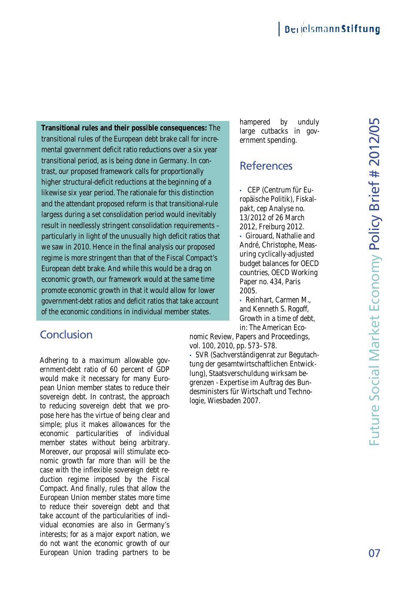**Transitional rules and their possible consequences:** The **rules and consequences:** transitional rules of the European debt brake call for incre-the incremental government deficit ratio reductions over a six year transitional period, as is being done in Germany. In contrast, our proposed framework calls for proportionally higher structural-deficit reductions at the beginning of a likewise six year period. The rationale for this distinction and the attendant proposed reform is that transitional-rule largess during a set consolidation period would inevitably result in needlessly stringent consolidation requirements – particularly in light of the unusually high deficit ratios that we saw in 2010. Hence in the final analysis our proposed regime is more stringent than that of the Fiscal Compact's European debt brake. And while this would be a drag on economic growth, our framework would at the same time promote economic growth in that it would allow for lower government-debt ratios and deficit ratios that take account of the economic conditions in individual member states. Fransitional fruits and the rist many possible others the virtue of the virtue of produces of the virtue of produces were a six year period and finally contain the virtue of the states more and plus in the states more pro transitional period, as is being done in Germany. In contrast, our proposed framework calls for proportionally<br>higher structural-deficit reductions at the beginning of a<br>likewise six year period. The rationale for this dis result in needlessly stringent consolidation requirements-<br>particularly in light of the unusually high deficit ratios tha<br>we saw in 2010. Hence in the final analysis our proposed<br>regime is more stringent than that of the F possible consequences:<br>ean debt brake call for ir<br>io reductions over a six y<br>done in Germany. In cor<br>calls for proportionally<br>tions at the beginning of<br>ationale for this distincti<br>form is that transitional-<br>consolidation r

## **Conclusion**

Adhering to a maximum allowable government-debt ratio of 60 percent of GDP would make it necessary for many European Union member states to reduce their sovereign debt. In contrast, the approach to reducing sovereign debt that we propose here has the virtue of being clear and simple; plus it makes allowances for the economic particularities of individual member states without being arbitrary. Moreover, our proposal will stimulate economic growth far more than will be the case with the inflexible sovereign debt reduction regime imposed by the Fiscal Compact. And finally, rules that allow the European Union member states more time to reduce their sovereign debt and that take account of the particularities of individual economies are also in Germany's interests; for as a major export nation, we do not want the economic growth of our European Union trading partners to be hampered by unduly large cutbacks in government spending.

### **References**

• CEP (Centrum für Europäische Politik), Fiskalpakt, cep Analyse no. 13/2012 of 26 March 2012, Freiburg 2012. • Girouard, Nathalie and André, Christophe, Measuring cyclically-adjusted budget balances for OECD countries, OECD Working Paper no. 434, Paris 2005.

• Reinhart, Carmen M., and Kenneth S. Rogoff, Growth in a time of debt, in: The American Eco-

nomic Review, Papers and Proceedings, vol. 100, 2010, pp. 573–578.

• SVR (Sachverständigenrat zur Begutachtung der gesamtwirtschaftlichen Entwicklung), Staatsverschuldung wirksam begrenzen - Expertise im Auftrag des Bungrenzen - Expertise im Auftrag des Bun-<br>desministers für Wirtschaft und Technologie, Wiesbaden 2007. zur Beguta<br>hen Entwi<br>irksam be